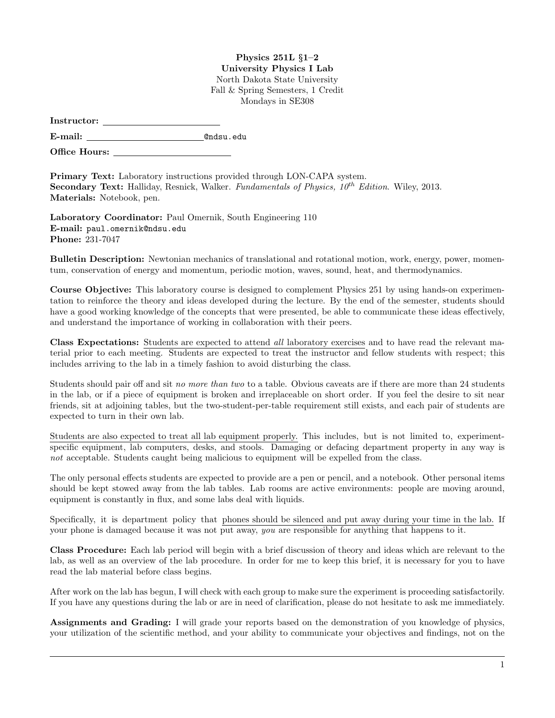## Physics 251L §1–2 University Physics I Lab North Dakota State University Fall & Spring Semesters, 1 Credit Mondays in SE308

| Instructor: |  |
|-------------|--|
|             |  |

E-mail: @ndsu.edu

Office Hours: \_

Primary Text: Laboratory instructions provided through LON-CAPA system. **Secondary Text:** Halliday, Resnick, Walker. Fundamentals of Physics,  $10^{th}$  Edition. Wiley, 2013. Materials: Notebook, pen.

Laboratory Coordinator: Paul Omernik, South Engineering 110 E-mail: paul.omernik@ndsu.edu Phone: 231-7047

Bulletin Description: Newtonian mechanics of translational and rotational motion, work, energy, power, momentum, conservation of energy and momentum, periodic motion, waves, sound, heat, and thermodynamics.

Course Objective: This laboratory course is designed to complement Physics 251 by using hands-on experimentation to reinforce the theory and ideas developed during the lecture. By the end of the semester, students should have a good working knowledge of the concepts that were presented, be able to communicate these ideas effectively, and understand the importance of working in collaboration with their peers.

Class Expectations: Students are expected to attend all laboratory exercises and to have read the relevant material prior to each meeting. Students are expected to treat the instructor and fellow students with respect; this includes arriving to the lab in a timely fashion to avoid disturbing the class.

Students should pair off and sit no more than two to a table. Obvious caveats are if there are more than 24 students in the lab, or if a piece of equipment is broken and irreplaceable on short order. If you feel the desire to sit near friends, sit at adjoining tables, but the two-student-per-table requirement still exists, and each pair of students are expected to turn in their own lab.

Students are also expected to treat all lab equipment properly. This includes, but is not limited to, experimentspecific equipment, lab computers, desks, and stools. Damaging or defacing department property in any way is not acceptable. Students caught being malicious to equipment will be expelled from the class.

The only personal effects students are expected to provide are a pen or pencil, and a notebook. Other personal items should be kept stowed away from the lab tables. Lab rooms are active environments: people are moving around, equipment is constantly in flux, and some labs deal with liquids.

Specifically, it is department policy that phones should be silenced and put away during your time in the lab. If your phone is damaged because it was not put away, you are responsible for anything that happens to it.

Class Procedure: Each lab period will begin with a brief discussion of theory and ideas which are relevant to the lab, as well as an overview of the lab procedure. In order for me to keep this brief, it is necessary for you to have read the lab material before class begins.

After work on the lab has begun, I will check with each group to make sure the experiment is proceeding satisfactorily. If you have any questions during the lab or are in need of clarification, please do not hesitate to ask me immediately.

Assignments and Grading: I will grade your reports based on the demonstration of you knowledge of physics, your utilization of the scientific method, and your ability to communicate your objectives and findings, not on the